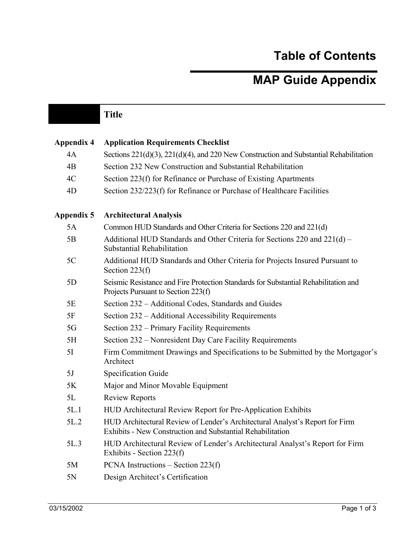## **Table of Contents**

## **MAP Guide Appendix**

|                   | <b>Title</b>                                                                                                                               |
|-------------------|--------------------------------------------------------------------------------------------------------------------------------------------|
|                   |                                                                                                                                            |
| <b>Appendix 4</b> | <b>Application Requirements Checklist</b>                                                                                                  |
| 4A                | Sections 221(d)(3), 221(d)(4), and 220 New Construction and Substantial Rehabilitation                                                     |
| 4B                | Section 232 New Construction and Substantial Rehabilitation                                                                                |
| 4C                | Section 223(f) for Refinance or Purchase of Existing Apartments                                                                            |
| 4D                | Section 232/223(f) for Refinance or Purchase of Healthcare Facilities                                                                      |
| <b>Appendix 5</b> | <b>Architectural Analysis</b>                                                                                                              |
| 5A                | Common HUD Standards and Other Criteria for Sections 220 and 221(d)                                                                        |
| 5B                | Additional HUD Standards and Other Criteria for Sections 220 and 221(d) –<br>Substantial Rehabilitation                                    |
| 5C                | Additional HUD Standards and Other Criteria for Projects Insured Pursuant to<br>Section $223(f)$                                           |
| 5D                | Seismic Resistance and Fire Protection Standards for Substantial Rehabilitation and<br>Projects Pursuant to Section 223(f)                 |
| 5E                | Section 232 – Additional Codes, Standards and Guides                                                                                       |
| 5F                | Section 232 – Additional Accessibility Requirements                                                                                        |
| 5G                | Section 232 – Primary Facility Requirements                                                                                                |
| 5H                | Section 232 – Nonresident Day Care Facility Requirements                                                                                   |
| 5I                | Firm Commitment Drawings and Specifications to be Submitted by the Mortgagor's<br>Architect                                                |
| 5J                | <b>Specification Guide</b>                                                                                                                 |
| 5K                | Major and Minor Movable Equipment                                                                                                          |
| 5L                | <b>Review Reports</b>                                                                                                                      |
| 5L.1              | HUD Architectural Review Report for Pre-Application Exhibits                                                                               |
| 5L.2              | HUD Architectural Review of Lender's Architectural Analyst's Report for Firm<br>Exhibits - New Construction and Substantial Rehabilitation |
| 5L.3              | HUD Architectural Review of Lender's Architectural Analyst's Report for Firm<br>Exhibits - Section $223(f)$                                |
| 5M                | PCNA Instructions $-$ Section 223(f)                                                                                                       |
| 5N                | Design Architect's Certification                                                                                                           |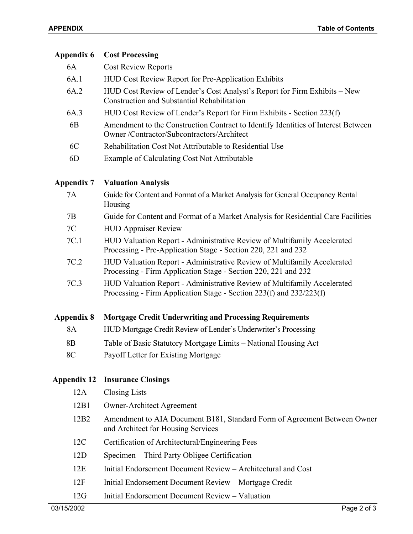| Appendix 6         | <b>Cost Processing</b>                                                                                                                         |
|--------------------|------------------------------------------------------------------------------------------------------------------------------------------------|
| 6A                 | <b>Cost Review Reports</b>                                                                                                                     |
| 6A.1               | <b>HUD Cost Review Report for Pre-Application Exhibits</b>                                                                                     |
| 6A.2               | HUD Cost Review of Lender's Cost Analyst's Report for Firm Exhibits – New<br><b>Construction and Substantial Rehabilitation</b>                |
| 6A.3               | HUD Cost Review of Lender's Report for Firm Exhibits - Section 223(f)                                                                          |
| 6 <sub>B</sub>     | Amendment to the Construction Contract to Identify Identities of Interest Between<br>Owner/Contractor/Subcontractors/Architect                 |
| 6C                 | Rehabilitation Cost Not Attributable to Residential Use                                                                                        |
| 6D                 | Example of Calculating Cost Not Attributable                                                                                                   |
| <b>Appendix 7</b>  | <b>Valuation Analysis</b>                                                                                                                      |
| 7A                 | Guide for Content and Format of a Market Analysis for General Occupancy Rental<br>Housing                                                      |
| 7B                 | Guide for Content and Format of a Market Analysis for Residential Care Facilities                                                              |
| 7C                 | <b>HUD Appraiser Review</b>                                                                                                                    |
| 7C.1               | HUD Valuation Report - Administrative Review of Multifamily Accelerated<br>Processing - Pre-Application Stage - Section 220, 221 and 232       |
| 7C.2               | HUD Valuation Report - Administrative Review of Multifamily Accelerated<br>Processing - Firm Application Stage - Section 220, 221 and 232      |
| 7C.3               | HUD Valuation Report - Administrative Review of Multifamily Accelerated<br>Processing - Firm Application Stage - Section 223(f) and 232/223(f) |
| <b>Appendix 8</b>  | <b>Mortgage Credit Underwriting and Processing Requirements</b>                                                                                |
| 8A                 | HUD Mortgage Credit Review of Lender's Underwriter's Processing                                                                                |
| 8 <sub>B</sub>     | Table of Basic Statutory Mortgage Limits – National Housing Act                                                                                |
| 8C                 | Payoff Letter for Existing Mortgage                                                                                                            |
| <b>Appendix 12</b> | <b>Insurance Closings</b>                                                                                                                      |
| 12A                | <b>Closing Lists</b>                                                                                                                           |
| 12B1               | <b>Owner-Architect Agreement</b>                                                                                                               |
| 12B <sub>2</sub>   | Amendment to AIA Document B181, Standard Form of Agreement Between Owner<br>and Architect for Housing Services                                 |
| 12C                | Certification of Architectural/Engineering Fees                                                                                                |
| 12D                | Specimen – Third Party Obligee Certification                                                                                                   |
| 12E                | Initial Endorsement Document Review - Architectural and Cost                                                                                   |
| 12F                | Initial Endorsement Document Review - Mortgage Credit                                                                                          |
| 12G                | Initial Endorsement Document Review - Valuation                                                                                                |